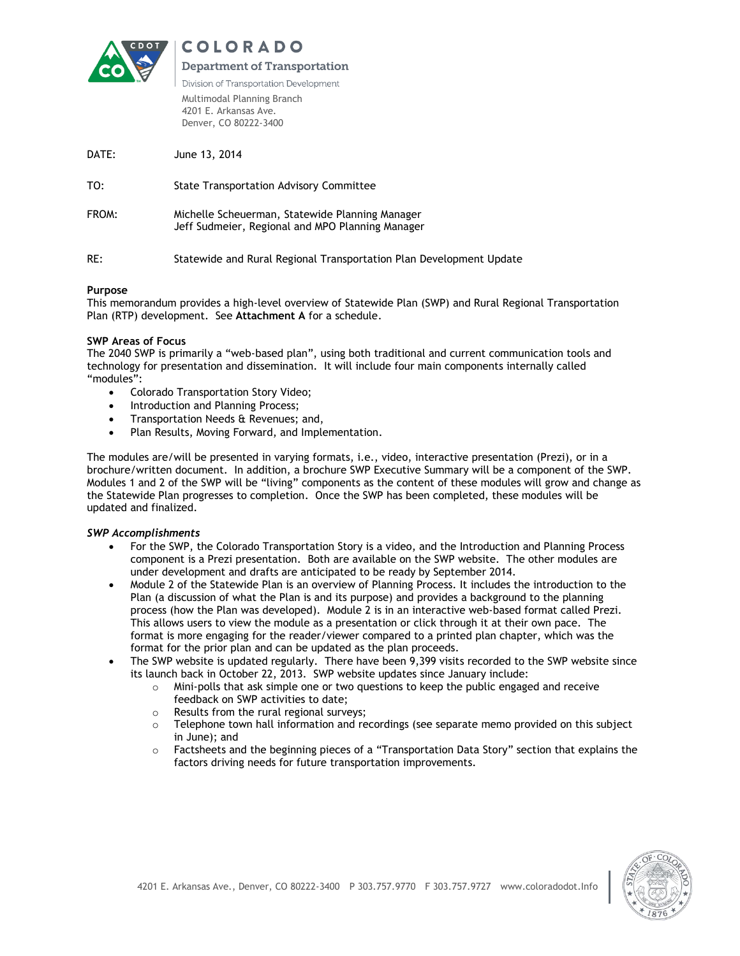

**COLORADO** 

#### Department of Transportation

Division of Transportation Development Multimodal Planning Branch 4201 E. Arkansas Ave. Denver, CO 80222-3400

DATE: June 13, 2014

TO: State Transportation Advisory Committee

FROM: Michelle Scheuerman, Statewide Planning Manager Jeff Sudmeier, Regional and MPO Planning Manager

RE: Statewide and Rural Regional Transportation Plan Development Update

## **Purpose**

This memorandum provides a high-level overview of Statewide Plan (SWP) and Rural Regional Transportation Plan (RTP) development. See **Attachment A** for a schedule.

## **SWP Areas of Focus**

The 2040 SWP is primarily a "web-based plan", using both traditional and current communication tools and technology for presentation and dissemination. It will include four main components internally called "modules":

- Colorado Transportation Story Video;
- Introduction and Planning Process;
- Transportation Needs & Revenues; and,
- Plan Results, Moving Forward, and Implementation.

The modules are/will be presented in varying formats, i.e., video, interactive presentation (Prezi), or in a brochure/written document. In addition, a brochure SWP Executive Summary will be a component of the SWP. Modules 1 and 2 of the SWP will be "living" components as the content of these modules will grow and change as the Statewide Plan progresses to completion. Once the SWP has been completed, these modules will be updated and finalized.

### *SWP Accomplishments*

- For the SWP, the Colorado Transportation Story is a video, and the Introduction and Planning Process component is a Prezi presentation. Both are available on the SWP website. The other modules are under development and drafts are anticipated to be ready by September 2014.
- Module 2 of the Statewide Plan is an overview of Planning Process. It includes the introduction to the Plan (a discussion of what the Plan is and its purpose) and provides a background to the planning process (how the Plan was developed). Module 2 is in an interactive web-based format called Prezi. This allows users to view the module as a presentation or click through it at their own pace. The format is more engaging for the reader/viewer compared to a printed plan chapter, which was the format for the prior plan and can be updated as the plan proceeds.
- The SWP website is updated regularly. There have been 9,399 visits recorded to the SWP website since its launch back in October 22, 2013. SWP website updates since January include:
	- o Mini-polls that ask simple one or two questions to keep the public engaged and receive feedback on SWP activities to date;
	- o Results from the rural regional surveys;
	- $\circ$  Telephone town hall information and recordings (see separate memo provided on this subject in June); and
	- $\circ$  Factsheets and the beginning pieces of a "Transportation Data Story" section that explains the factors driving needs for future transportation improvements.

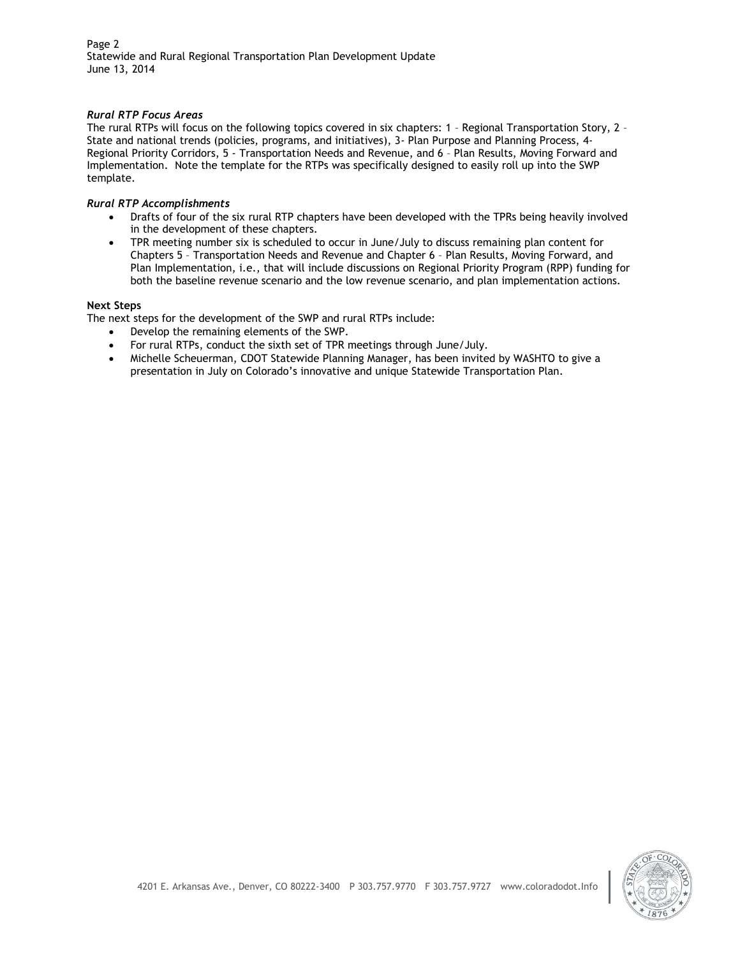Page 2 Statewide and Rural Regional Transportation Plan Development Update June 13, 2014

#### *Rural RTP Focus Areas*

The rural RTPs will focus on the following topics covered in six chapters: 1 – Regional Transportation Story, 2 – State and national trends (policies, programs, and initiatives), 3- Plan Purpose and Planning Process, 4- Regional Priority Corridors, 5 - Transportation Needs and Revenue, and 6 – Plan Results, Moving Forward and Implementation. Note the template for the RTPs was specifically designed to easily roll up into the SWP template.

#### *Rural RTP Accomplishments*

- Drafts of four of the six rural RTP chapters have been developed with the TPRs being heavily involved in the development of these chapters.
- TPR meeting number six is scheduled to occur in June/July to discuss remaining plan content for Chapters 5 – Transportation Needs and Revenue and Chapter 6 – Plan Results, Moving Forward, and Plan Implementation, i.e., that will include discussions on Regional Priority Program (RPP) funding for both the baseline revenue scenario and the low revenue scenario, and plan implementation actions.

#### **Next Steps**

The next steps for the development of the SWP and rural RTPs include:

- Develop the remaining elements of the SWP.
- For rural RTPs, conduct the sixth set of TPR meetings through June/July.
- Michelle Scheuerman, CDOT Statewide Planning Manager, has been invited by WASHTO to give a presentation in July on Colorado's innovative and unique Statewide Transportation Plan.